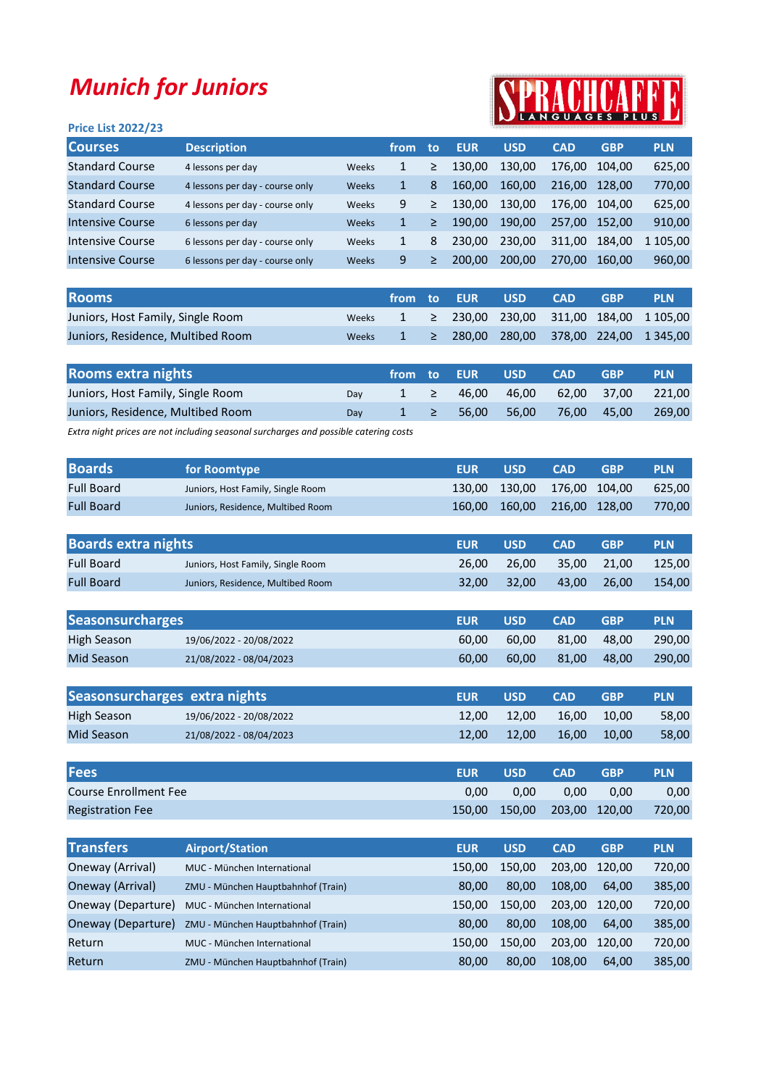## Munich for Juniors

## SPRACHCAFFI

| <b>Price List 2022/23</b> |                                 |              |      |    |            |            |            |            |            |
|---------------------------|---------------------------------|--------------|------|----|------------|------------|------------|------------|------------|
| <b>Courses</b>            | <b>Description</b>              |              | from | to | <b>EUR</b> | <b>USD</b> | <b>CAD</b> | <b>GBP</b> | <b>PLN</b> |
| <b>Standard Course</b>    | 4 lessons per day               | Weeks        | 1    | ≥  | 130.00     | 130.00     | 176.00     | 104.00     | 625,00     |
| <b>Standard Course</b>    | 4 lessons per day - course only | Weeks        | 1    | 8  | 160.00     | 160.00     | 216.00     | 128.00     | 770,00     |
| <b>Standard Course</b>    | 4 lessons per day - course only | Weeks        | 9    | ≥  | 130.00     | 130.00     | 176.00     | 104.00     | 625,00     |
| Intensive Course          | 6 lessons per day               | <b>Weeks</b> | 1    | ≥  | 190.00     | 190.00     | 257.00     | 152.00     | 910,00     |
| Intensive Course          | 6 lessons per day - course only | Weeks        | 1    | 8  | 230.00     | 230.00     | 311.00     | 184.00     | 1 105,00   |
| Intensive Course          | 6 lessons per day - course only | <b>Weeks</b> | 9    | ≥  | 200.00     | 200.00     | 270.00     | 160.00     | 960,00     |
|                           |                                 |              |      |    |            |            |            |            |            |

| <b>Rooms</b>                      |              |  | from to EUR  USD | <b>CAD</b> | <b>GRP</b> | <b>PLN</b>                                                       |
|-----------------------------------|--------------|--|------------------|------------|------------|------------------------------------------------------------------|
| Juniors, Host Family, Single Room | <b>Weeks</b> |  |                  |            |            | $1 \geq 230,00$ 230,00 311,00 184,00 1105,00                     |
| Juniors, Residence, Multibed Room | <b>Weeks</b> |  |                  |            |            | $1 \geq 280,00 \geq 280,00 \geq 378,00 \geq 224,00 \geq 1345,00$ |

| <b>Rooms extra nights</b>         |     |          | ا from to EUR        | <b>USD</b>  | <b>CAD</b>  | <b>GBP</b>         | <b>PLN</b> |
|-----------------------------------|-----|----------|----------------------|-------------|-------------|--------------------|------------|
| Juniors, Host Family, Single Room | Dav | $1 \geq$ |                      | 46.00 46.00 |             | 62,00 37,00 221,00 |            |
| Juniors, Residence, Multibed Room | Dav |          | $1 \geq 56.00$ 56.00 |             | 76.00 45.00 |                    | 269.00     |

Extra night prices are not including seasonal surcharges and possible catering costs

| <b>Boards</b>     | for Roomtype                      | EUR | <b>USD</b>                  | <b>CAD</b> | <b>GBP</b> | <b>PLN</b> |
|-------------------|-----------------------------------|-----|-----------------------------|------------|------------|------------|
| <b>Full Board</b> | Juniors, Host Family, Single Room |     | 130,00 130,00 176,00 104,00 |            |            | 625.00     |
| <b>Full Board</b> | Juniors, Residence, Multibed Room |     | 160,00 160,00 216,00 128,00 |            |            | 770.00     |

| <b>Boards extra nights</b> |                                   | <b>EUR</b> | <b>USD</b> | <b>CAD</b> | <b>GRP</b>  | <b>PLN</b> |
|----------------------------|-----------------------------------|------------|------------|------------|-------------|------------|
| <b>Full Board</b>          | Juniors, Host Family, Single Room | 26.00      | 26.00      |            | 35.00 21.00 | 125.00     |
| <b>Full Board</b>          | Juniors, Residence, Multibed Room | 32.00      | 32.00      |            | 43.00 26.00 | 154.00     |

| <b>Seasonsurcharges</b> |                         | <b>EUR</b> | <b>USD</b> | <b>CAD</b> | <b>GBP</b> | <b>PLN</b> |
|-------------------------|-------------------------|------------|------------|------------|------------|------------|
| High Season             | 19/06/2022 - 20/08/2022 | 60.00      | 60.00      | 81.00      | 48.00      | 290.00     |
| Mid Season              | 21/08/2022 - 08/04/2023 | 60.00      | 60.00      | 81.00      | 48.00      | 290,00     |
|                         |                         |            |            |            |            |            |

| Seasonsurcharges extra nights |                         | <b>EUR</b> | <b>USD</b> | <b>CAD</b> | GRP   | <b>PLN</b> |
|-------------------------------|-------------------------|------------|------------|------------|-------|------------|
| High Season                   | 19/06/2022 - 20/08/2022 | 12.00      | 12.00      | 16.00      | 10.00 | 58.00      |
| Mid Season                    | 21/08/2022 - 08/04/2023 | 12.00      | 12.00      | 16.00      | 10.00 | 58,00      |

| <b>Fees</b>             | <b>EUR</b> | <b>USD</b>                  | <b>CAD</b> | <b>GBP</b> | <b>PLN</b> |
|-------------------------|------------|-----------------------------|------------|------------|------------|
| Course Enrollment Fee   | 0.00       | 0.00                        | 0.00       | 0.00       | 0,00       |
| <b>Registration Fee</b> |            | 150,00 150,00 203,00 120,00 |            |            | 720.00     |

| <b>Transfers</b>   | <b>Airport/Station</b>             | <b>EUR</b> | <b>USD</b> | <b>CAD</b> | <b>GBP</b> | <b>PLN</b> |
|--------------------|------------------------------------|------------|------------|------------|------------|------------|
| Oneway (Arrival)   | MUC - München International        | 150.00     | 150.00     | 203.00     | 120.00     | 720,00     |
| Oneway (Arrival)   | ZMU - München Hauptbahnhof (Train) | 80.00      | 80.00      | 108.00     | 64.00      | 385,00     |
| Oneway (Departure) | MUC - München International        | 150.00     | 150.00     | 203.00     | 120.00     | 720,00     |
| Oneway (Departure) | ZMU - München Hauptbahnhof (Train) | 80.00      | 80.00      | 108.00     | 64.00      | 385,00     |
| Return             | MUC - München International        | 150.00     | 150.00     | 203.00     | 120.00     | 720,00     |
| Return             | ZMU - München Hauptbahnhof (Train) | 80,00      | 80,00      | 108,00     | 64.00      | 385,00     |